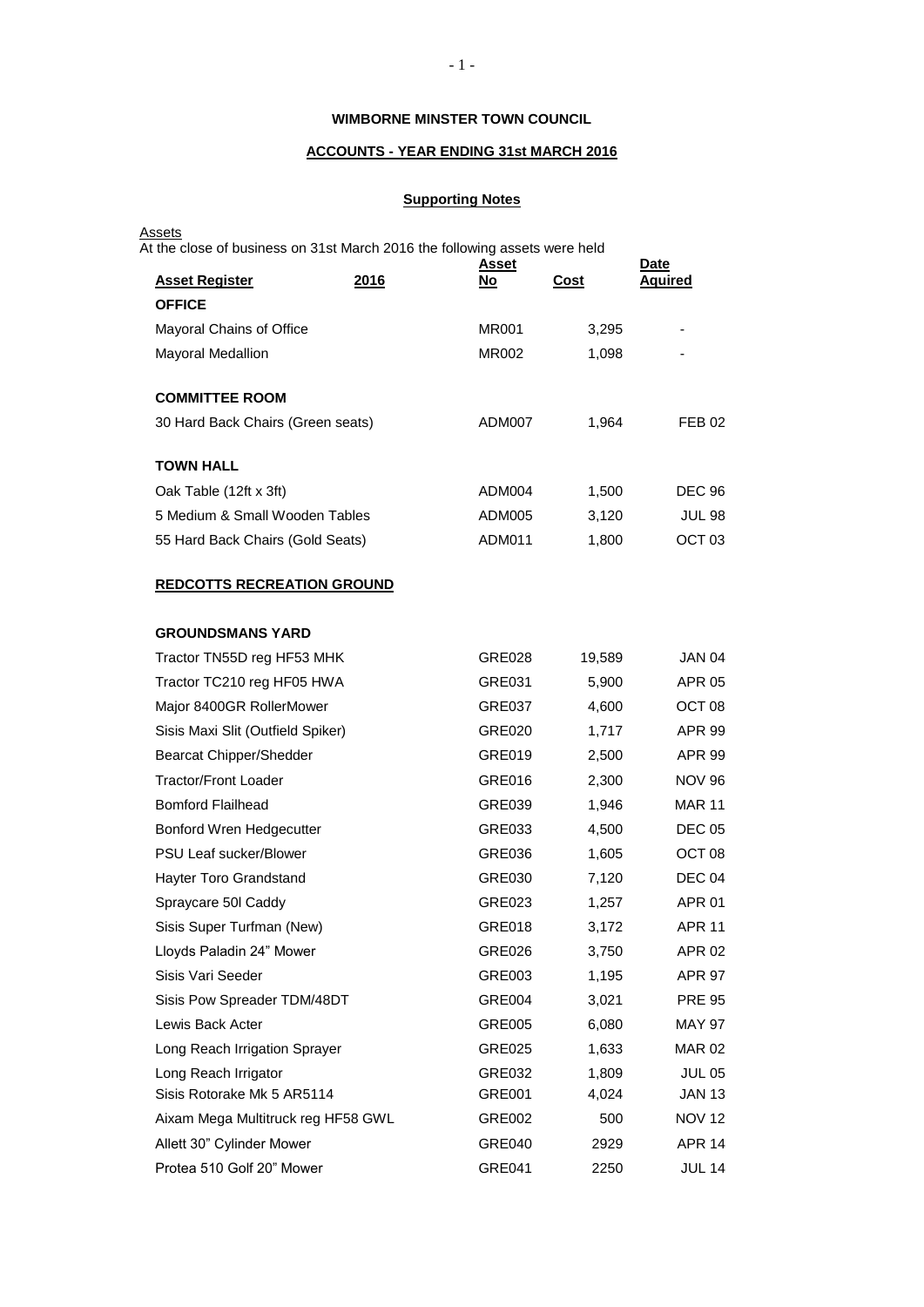# **WIMBORNE MINSTER TOWN COUNCIL**

# **ACCOUNTS - YEAR ENDING 31st MARCH 2016**

## **Supporting Notes**

| Assets<br>At the close of business on 31st March 2016 the following assets were held |                                    |      |               |        |                        |
|--------------------------------------------------------------------------------------|------------------------------------|------|---------------|--------|------------------------|
|                                                                                      | <b>Asset Register</b>              | 2016 | Asset<br>No   | Cost   | Date<br><b>Aquired</b> |
|                                                                                      | <b>OFFICE</b>                      |      |               |        |                        |
|                                                                                      | Mayoral Chains of Office           |      | <b>MR001</b>  | 3,295  |                        |
|                                                                                      | Mayoral Medallion                  |      | <b>MR002</b>  | 1,098  |                        |
|                                                                                      |                                    |      |               |        |                        |
|                                                                                      | <b>COMMITTEE ROOM</b>              |      |               |        |                        |
|                                                                                      | 30 Hard Back Chairs (Green seats)  |      | <b>ADM007</b> | 1,964  | FEB 02                 |
|                                                                                      |                                    |      |               |        |                        |
|                                                                                      | <b>TOWN HALL</b>                   |      |               |        |                        |
|                                                                                      | Oak Table (12ft x 3ft)             |      | ADM004        | 1,500  | <b>DEC 96</b>          |
|                                                                                      | 5 Medium & Small Wooden Tables     |      | ADM005        | 3,120  | <b>JUL 98</b>          |
|                                                                                      | 55 Hard Back Chairs (Gold Seats)   |      | ADM011        | 1,800  | OCT <sub>03</sub>      |
|                                                                                      | <b>REDCOTTS RECREATION GROUND</b>  |      |               |        |                        |
|                                                                                      |                                    |      |               |        |                        |
|                                                                                      | <b>GROUNDSMANS YARD</b>            |      |               |        |                        |
|                                                                                      | Tractor TN55D reg HF53 MHK         |      | GRE028        | 19,589 | JAN 04                 |
|                                                                                      | Tractor TC210 reg HF05 HWA         |      | GRE031        | 5,900  | <b>APR 05</b>          |
|                                                                                      | Major 8400GR RollerMower           |      | <b>GRE037</b> | 4,600  | OCT <sub>08</sub>      |
|                                                                                      | Sisis Maxi Slit (Outfield Spiker)  |      | GRE020        | 1,717  | <b>APR 99</b>          |
|                                                                                      | <b>Bearcat Chipper/Shedder</b>     |      | GRE019        | 2,500  | APR 99                 |
|                                                                                      | <b>Tractor/Front Loader</b>        |      | GRE016        | 2,300  | <b>NOV 96</b>          |
|                                                                                      | <b>Bomford Flailhead</b>           |      | GRE039        | 1,946  | <b>MAR 11</b>          |
|                                                                                      | Bonford Wren Hedgecutter           |      | GRE033        | 4,500  | <b>DEC 05</b>          |
|                                                                                      | <b>PSU Leaf sucker/Blower</b>      |      | GRE036        | 1,605  | OCT <sub>08</sub>      |
|                                                                                      | Hayter Toro Grandstand             |      | GRE030        | 7,120  | <b>DEC 04</b>          |
|                                                                                      | Spraycare 50I Caddy                |      | GRE023        | 1,257  | APR 01                 |
|                                                                                      | Sisis Super Turfman (New)          |      | GRE018        | 3,172  | <b>APR 11</b>          |
|                                                                                      | Lloyds Paladin 24" Mower           |      | GRE026        | 3,750  | APR 02                 |
|                                                                                      | Sisis Vari Seeder                  |      | GRE003        | 1,195  | <b>APR 97</b>          |
|                                                                                      | Sisis Pow Spreader TDM/48DT        |      | GRE004        | 3,021  | <b>PRE 95</b>          |
|                                                                                      | Lewis Back Acter                   |      | GRE005        | 6,080  | MAY 97                 |
|                                                                                      | Long Reach Irrigation Sprayer      |      | GRE025        | 1,633  | <b>MAR 02</b>          |
|                                                                                      | Long Reach Irrigator               |      | GRE032        | 1,809  | <b>JUL 05</b>          |
|                                                                                      | Sisis Rotorake Mk 5 AR5114         |      | GRE001        | 4,024  | <b>JAN 13</b>          |
|                                                                                      | Aixam Mega Multitruck reg HF58 GWL |      | GRE002        | 500    | <b>NOV 12</b>          |
|                                                                                      | Allett 30" Cylinder Mower          |      | GRE040        | 2929   | <b>APR 14</b>          |
|                                                                                      | Protea 510 Golf 20" Mower          |      | GRE041        | 2250   | <b>JUL 14</b>          |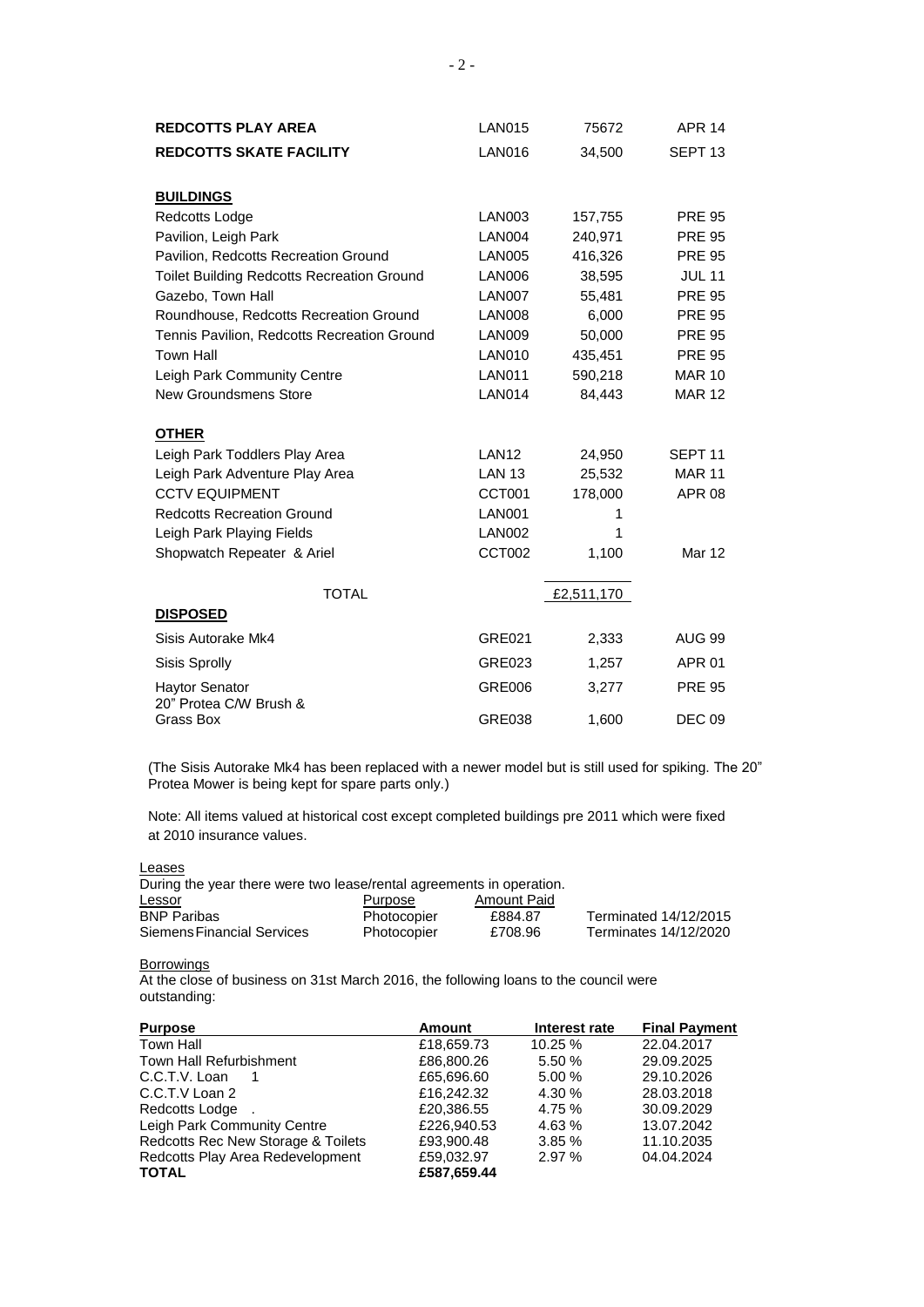| <b>REDCOTTS PLAY AREA</b>                         | <b>LAN015</b>     | 75672      | <b>APR 14</b>      |
|---------------------------------------------------|-------------------|------------|--------------------|
| <b>REDCOTTS SKATE FACILITY</b>                    | <b>LAN016</b>     | 34,500     | SEPT <sub>13</sub> |
|                                                   |                   |            |                    |
| <b>BUILDINGS</b>                                  |                   |            |                    |
| Redcotts Lodge                                    | <b>LAN003</b>     | 157,755    | <b>PRE 95</b>      |
| Pavilion, Leigh Park                              | <b>LAN004</b>     | 240,971    | <b>PRE 95</b>      |
| Pavilion, Redcotts Recreation Ground              | <b>LAN005</b>     | 416,326    | <b>PRE 95</b>      |
| <b>Toilet Building Redcotts Recreation Ground</b> | <b>LAN006</b>     | 38,595     | <b>JUL 11</b>      |
| Gazebo, Town Hall                                 | <b>LAN007</b>     | 55,481     | <b>PRE 95</b>      |
| Roundhouse, Redcotts Recreation Ground            | <b>LAN008</b>     | 6,000      | <b>PRE 95</b>      |
| Tennis Pavilion, Redcotts Recreation Ground       | <b>LAN009</b>     | 50,000     | <b>PRE 95</b>      |
| <b>Town Hall</b>                                  | <b>LAN010</b>     | 435,451    | <b>PRE 95</b>      |
| Leigh Park Community Centre                       | <b>LAN011</b>     | 590,218    | <b>MAR 10</b>      |
| <b>New Groundsmens Store</b>                      | <b>LAN014</b>     | 84,443     | <b>MAR 12</b>      |
| <b>OTHER</b>                                      |                   |            |                    |
| Leigh Park Toddlers Play Area                     | LAN <sub>12</sub> | 24,950     | SEPT <sub>11</sub> |
| Leigh Park Adventure Play Area                    | <b>LAN 13</b>     | 25,532     | <b>MAR 11</b>      |
| <b>CCTV EQUIPMENT</b>                             | CCT001            | 178,000    | <b>APR 08</b>      |
| <b>Redcotts Recreation Ground</b>                 | <b>LAN001</b>     | 1          |                    |
| Leigh Park Playing Fields                         | <b>LAN002</b>     | 1          |                    |
| Shopwatch Repeater & Ariel                        | CCT002            | 1,100      | Mar 12             |
| <b>TOTAL</b>                                      |                   | £2,511,170 |                    |
| <b>DISPOSED</b>                                   |                   |            |                    |
| Sisis Autorake Mk4                                | <b>GRE021</b>     | 2,333      | <b>AUG 99</b>      |
| <b>Sisis Sprolly</b>                              | GRE023            | 1,257      | <b>APR 01</b>      |
| <b>Haytor Senator</b><br>20" Protea C/W Brush &   | <b>GRE006</b>     | 3,277      | <b>PRE 95</b>      |
| Grass Box                                         | <b>GRE038</b>     | 1,600      | <b>DEC 09</b>      |

(The Sisis Autorake Mk4 has been replaced with a newer model but is still used for spiking. The 20" Protea Mower is being kept for spare parts only.)

Note: All items valued at historical cost except completed buildings pre 2011 which were fixed at 2010 insurance values.

**Leases** 

During the year there were two lease/rental agreements in operation.

| Lessor                     | Purpose     | Amount Paid |                       |
|----------------------------|-------------|-------------|-----------------------|
| BNP Paribas                | Photocopier | £884.87     | Terminated 14/12/2015 |
| Siemens Financial Services | Photocopier | £708.96     | Terminates 14/12/2020 |

## **Borrowings**

At the close of business on 31st March 2016, the following loans to the council were outstanding:

| <b>Purpose</b>                     | <b>Amount</b> | Interest rate | <b>Final Payment</b> |
|------------------------------------|---------------|---------------|----------------------|
| <b>Town Hall</b>                   | £18,659.73    | 10.25 %       | 22.04.2017           |
| Town Hall Refurbishment            | £86,800.26    | 5.50 %        | 29.09.2025           |
| C.C.T.V. Loan                      | £65,696.60    | 5.00%         | 29.10.2026           |
| C.C.T.V Loan 2                     | £16,242,32    | 4.30 %        | 28.03.2018           |
| Redcotts Lodge                     | £20,386.55    | 4.75 %        | 30.09.2029           |
| Leigh Park Community Centre        | £226,940,53   | 4.63%         | 13.07.2042           |
| Redcotts Rec New Storage & Toilets | £93,900.48    | 3.85%         | 11.10.2035           |
| Redcotts Play Area Redevelopment   | £59,032.97    | 2.97 %        | 04.04.2024           |
| <b>TOTAL</b>                       | £587,659.44   |               |                      |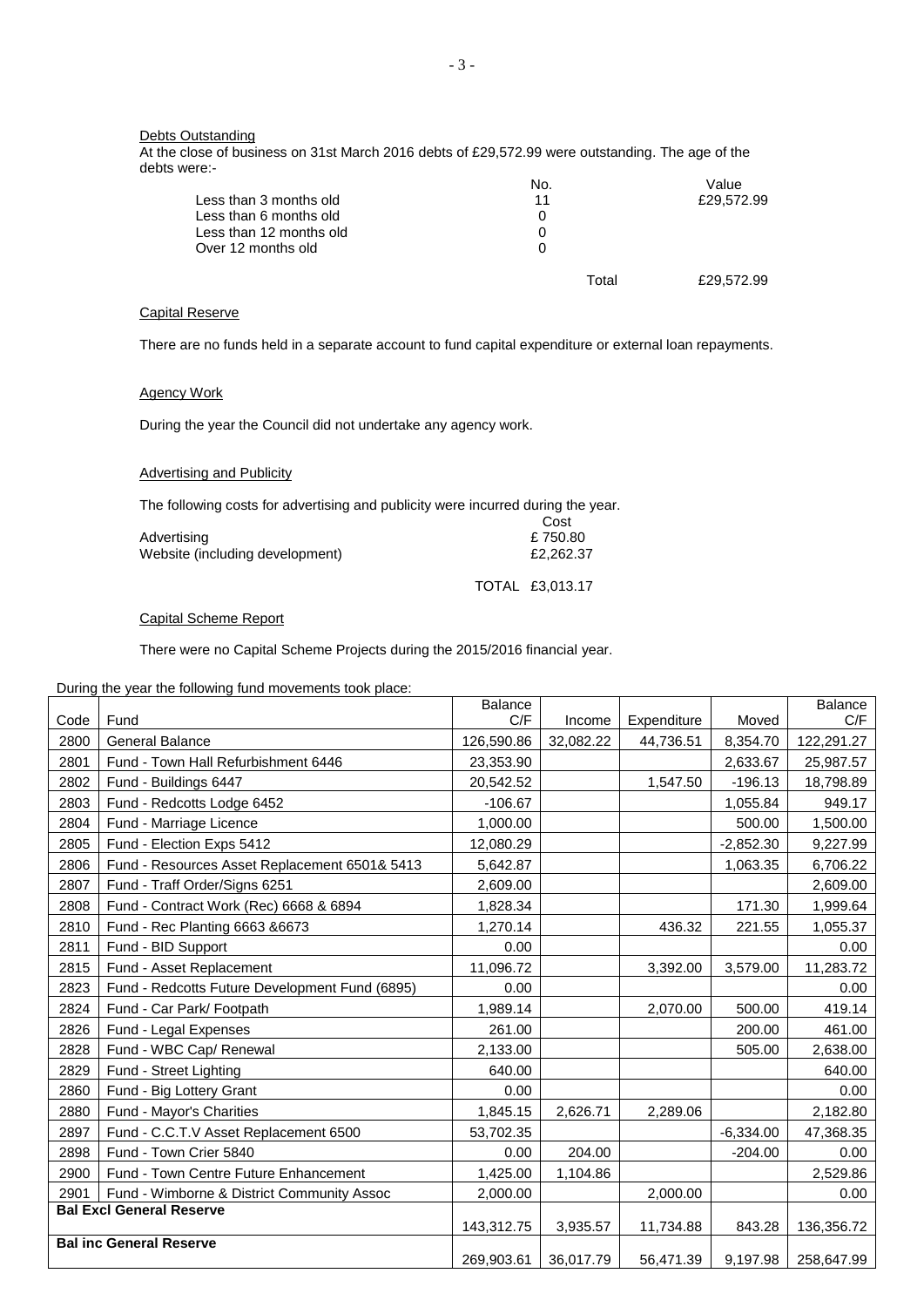### **Debts Outstanding**

At the close of business on 31st March 2016 debts of £29,572.99 were outstanding. The age of the debts were:-

|                         | No.   | Value      |
|-------------------------|-------|------------|
| Less than 3 months old  | 11    | £29,572.99 |
| Less than 6 months old  | O     |            |
| Less than 12 months old | 0     |            |
| Over 12 months old      | 0     |            |
|                         | Total | £29,572.99 |

## Capital Reserve

There are no funds held in a separate account to fund capital expenditure or external loan repayments.

## Agency Work

During the year the Council did not undertake any agency work.

## **Advertising and Publicity**

The following costs for advertising and publicity were incurred during the year.  $C<sub>net</sub>$ 

|                                 | ື         |
|---------------------------------|-----------|
| Advertising                     | £750.80   |
| Website (including development) | £2.262.37 |
|                                 |           |

TOTAL £3,013.17

### Capital Scheme Report

There were no Capital Scheme Projects during the 2015/2016 financial year.

During the year the following fund movements took place:

|                                 | Fund                                           | <b>Balance</b><br>C/F |           |             |             | Balance<br>C/F |
|---------------------------------|------------------------------------------------|-----------------------|-----------|-------------|-------------|----------------|
| Code                            |                                                |                       | Income    | Expenditure | Moved       |                |
| 2800                            | <b>General Balance</b>                         | 126,590.86            | 32,082.22 | 44,736.51   | 8,354.70    | 122,291.27     |
| 2801                            | Fund - Town Hall Refurbishment 6446            | 23,353.90             |           |             | 2,633.67    | 25,987.57      |
| 2802                            | Fund - Buildings 6447                          | 20,542.52             |           | 1,547.50    | $-196.13$   | 18,798.89      |
| 2803                            | Fund - Redcotts Lodge 6452                     | $-106.67$             |           |             | 1,055.84    | 949.17         |
| 2804                            | Fund - Marriage Licence                        | 1,000.00              |           |             | 500.00      | 1,500.00       |
| 2805                            | Fund - Election Exps 5412                      | 12,080.29             |           |             | $-2,852.30$ | 9,227.99       |
| 2806                            | Fund - Resources Asset Replacement 6501& 5413  | 5,642.87              |           |             | 1,063.35    | 6,706.22       |
| 2807                            | Fund - Traff Order/Signs 6251                  | 2,609.00              |           |             |             | 2,609.00       |
| 2808                            | Fund - Contract Work (Rec) 6668 & 6894         | 1,828.34              |           |             | 171.30      | 1,999.64       |
| 2810                            | Fund - Rec Planting 6663 & 6673                | 1,270.14              |           | 436.32      | 221.55      | 1,055.37       |
| 2811                            | Fund - BID Support                             | 0.00                  |           |             |             | 0.00           |
| 2815                            | Fund - Asset Replacement                       | 11,096.72             |           | 3,392.00    | 3,579.00    | 11,283.72      |
| 2823                            | Fund - Redcotts Future Development Fund (6895) | 0.00                  |           |             |             | 0.00           |
| 2824                            | Fund - Car Park/ Footpath                      | 1,989.14              |           | 2,070.00    | 500.00      | 419.14         |
| 2826                            | Fund - Legal Expenses                          | 261.00                |           |             | 200.00      | 461.00         |
| 2828                            | Fund - WBC Cap/ Renewal                        | 2,133.00              |           |             | 505.00      | 2,638.00       |
| 2829                            | Fund - Street Lighting                         | 640.00                |           |             |             | 640.00         |
| 2860                            | Fund - Big Lottery Grant                       | 0.00                  |           |             |             | 0.00           |
| 2880                            | Fund - Mayor's Charities                       | 1,845.15              | 2,626.71  | 2,289.06    |             | 2,182.80       |
| 2897                            | Fund - C.C.T.V Asset Replacement 6500          | 53,702.35             |           |             | $-6,334.00$ | 47,368.35      |
| 2898                            | Fund - Town Crier 5840                         | 0.00                  | 204.00    |             | $-204.00$   | 0.00           |
| 2900                            | <b>Fund - Town Centre Future Enhancement</b>   | 1,425.00              | 1,104.86  |             |             | 2,529.86       |
| 2901                            | Fund - Wimborne & District Community Assoc     | 2,000.00              |           | 2,000.00    |             | 0.00           |
| <b>Bal Excl General Reserve</b> |                                                |                       |           |             |             |                |
|                                 |                                                | 143,312.75            | 3,935.57  | 11,734.88   | 843.28      | 136,356.72     |
|                                 | <b>Bal inc General Reserve</b>                 | 269,903.61            | 36,017.79 | 56,471.39   | 9,197.98    | 258,647.99     |